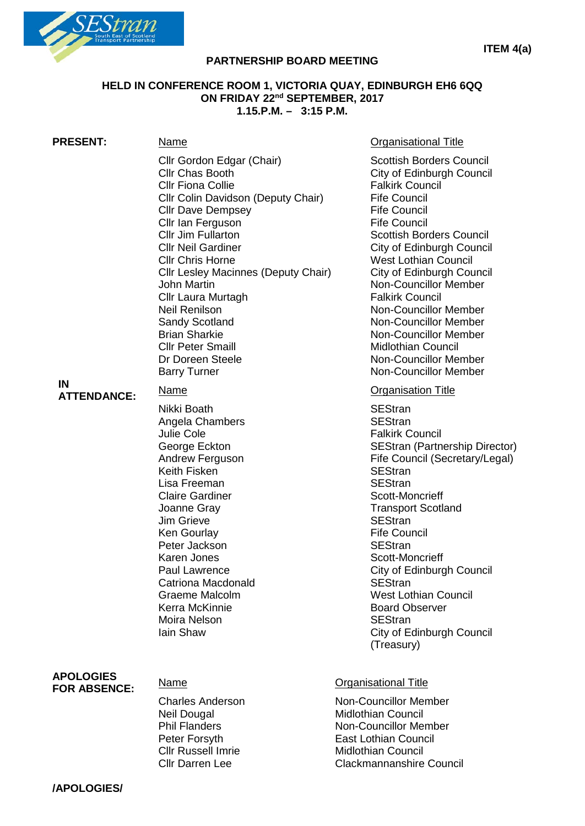

# **PARTNERSHIP BOARD MEETING**

### **HELD IN CONFERENCE ROOM 1, VICTORIA QUAY, EDINBURGH EH6 6QQ ON FRIDAY 22nd SEPTEMBER, 2017 1.15.P.M. – 3:15 P.M.**

| <b>PRESENT:</b>                         | <u>Name</u>                                                                                                                                                                                                                                                                                                                                                                                                                                                                             | <b>Organisational Title</b>                                                                                                                                                                                                                                                                                                                                                                                                                                                                                                      |
|-----------------------------------------|-----------------------------------------------------------------------------------------------------------------------------------------------------------------------------------------------------------------------------------------------------------------------------------------------------------------------------------------------------------------------------------------------------------------------------------------------------------------------------------------|----------------------------------------------------------------------------------------------------------------------------------------------------------------------------------------------------------------------------------------------------------------------------------------------------------------------------------------------------------------------------------------------------------------------------------------------------------------------------------------------------------------------------------|
|                                         | Cllr Gordon Edgar (Chair)<br><b>Cllr Chas Booth</b><br><b>CIIr Fiona Collie</b><br>Cllr Colin Davidson (Deputy Chair)<br><b>Cllr Dave Dempsey</b><br>Cllr Ian Ferguson<br><b>Cllr Jim Fullarton</b><br><b>Cllr Neil Gardiner</b><br><b>Cllr Chris Horne</b><br><b>Cllr Lesley Macinnes (Deputy Chair)</b><br>John Martin<br>Cllr Laura Murtagh<br>Neil Renilson<br><b>Sandy Scotland</b><br><b>Brian Sharkie</b><br><b>Cllr Peter Smaill</b><br>Dr Doreen Steele<br><b>Barry Turner</b> | <b>Scottish Borders Council</b><br>City of Edinburgh Council<br><b>Falkirk Council</b><br><b>Fife Council</b><br><b>Fife Council</b><br><b>Fife Council</b><br><b>Scottish Borders Council</b><br>City of Edinburgh Council<br><b>West Lothian Council</b><br>City of Edinburgh Council<br>Non-Councillor Member<br><b>Falkirk Council</b><br>Non-Councillor Member<br><b>Non-Councillor Member</b><br><b>Non-Councillor Member</b><br><b>Midlothian Council</b><br><b>Non-Councillor Member</b><br><b>Non-Councillor Member</b> |
| IN<br><b>ATTENDANCE:</b>                | <u>Name</u><br>Nikki Boath<br>Angela Chambers<br>Julie Cole<br>George Eckton<br>Andrew Ferguson<br>Keith Fisken<br>Lisa Freeman<br><b>Claire Gardiner</b><br>Joanne Gray<br><b>Jim Grieve</b><br>Ken Gourlay<br>Peter Jackson<br>Karen Jones<br><b>Paul Lawrence</b><br><b>Catriona Macdonald</b><br><b>Graeme Malcolm</b><br>Kerra McKinnie<br>Moira Nelson<br>lain Shaw                                                                                                               | <b>Organisation Title</b><br><b>SEStran</b><br><b>SEStran</b><br><b>Falkirk Council</b><br>SEStran (Partnership Director)<br>Fife Council (Secretary/Legal)<br><b>SEStran</b><br><b>SEStran</b><br>Scott-Moncrieff<br><b>Transport Scotland</b><br><b>SEStran</b><br><b>Fife Council</b><br><b>SEStran</b><br>Scott-Moncrieff<br>City of Edinburgh Council<br><b>SEStran</b><br><b>West Lothian Council</b><br><b>Board Observer</b><br><b>SEStran</b><br>City of Edinburgh Council<br>(Treasury)                                |
| <b>APOLOGIES</b><br><b>FOR ABSENCE:</b> | Name<br><b>Charles Anderson</b><br>Neil Dougal<br><b>Phil Flanders</b><br>Peter Forsyth<br><b>Cllr Russell Imrie</b><br><b>Cllr Darren Lee</b>                                                                                                                                                                                                                                                                                                                                          | <b>Organisational Title</b><br><b>Non-Councillor Member</b><br><b>Midlothian Council</b><br><b>Non-Councillor Member</b><br><b>East Lothian Council</b><br><b>Midlothian Council</b><br><b>Clackmannanshire Council</b>                                                                                                                                                                                                                                                                                                          |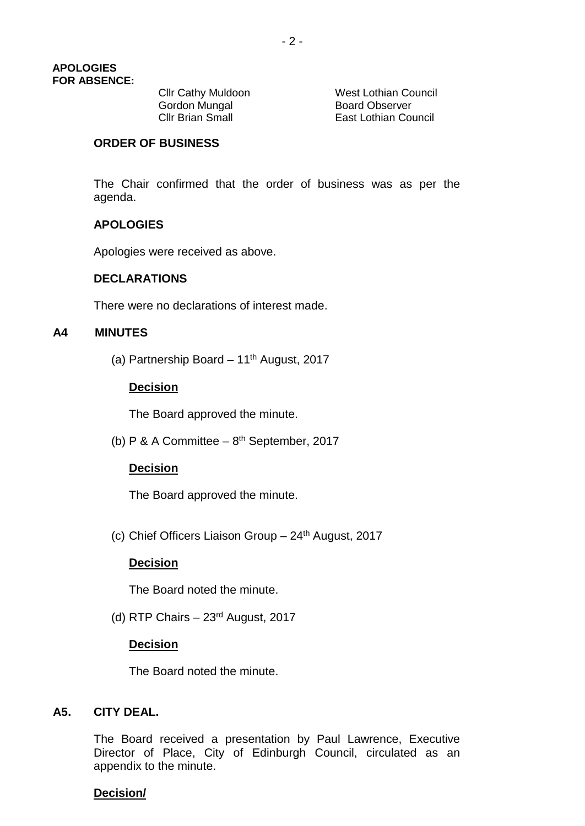Gordon Mungal<br>Cllr Brian Small

**Cllr Cathy Muldoon** West Lothian Council<br>
Gordon Mungal<br>
Board Observer **East Lothian Council** 

### **ORDER OF BUSINESS**

The Chair confirmed that the order of business was as per the agenda.

# **APOLOGIES**

Apologies were received as above.

### **DECLARATIONS**

There were no declarations of interest made.

## **A4 MINUTES**

(a) Partnership Board  $-11<sup>th</sup>$  August, 2017

### **Decision**

The Board approved the minute.

(b) P & A Committee  $-8^{th}$  September, 2017

### **Decision**

The Board approved the minute.

(c) Chief Officers Liaison Group  $-24$ <sup>th</sup> August, 2017

### **Decision**

The Board noted the minute.

(d) RTP Chairs – 23rd August, 2017

### **Decision**

The Board noted the minute.

### **A5. CITY DEAL.**

The Board received a presentation by Paul Lawrence, Executive Director of Place, City of Edinburgh Council, circulated as an appendix to the minute.

#### **Decision/**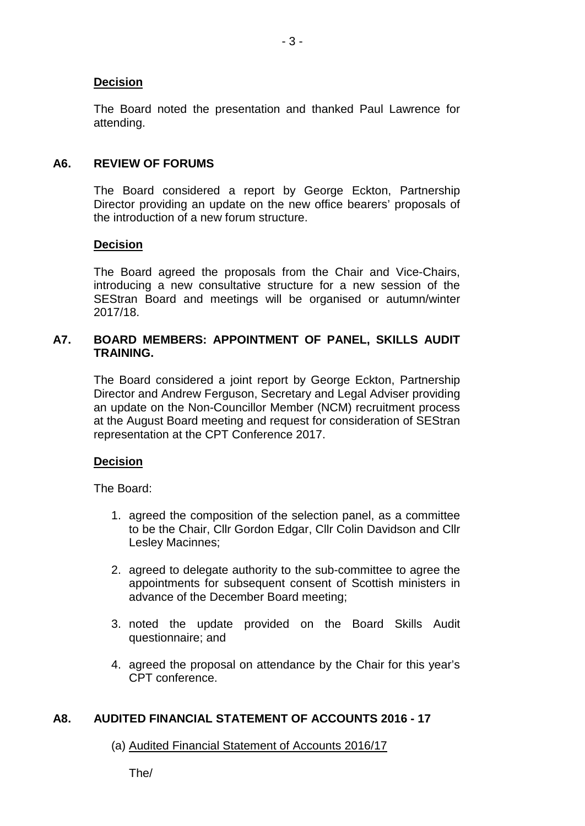# **Decision**

The Board noted the presentation and thanked Paul Lawrence for attending.

# **A6. REVIEW OF FORUMS**

The Board considered a report by George Eckton, Partnership Director providing an update on the new office bearers' proposals of the introduction of a new forum structure.

### **Decision**

The Board agreed the proposals from the Chair and Vice-Chairs, introducing a new consultative structure for a new session of the SEStran Board and meetings will be organised or autumn/winter 2017/18.

# **A7. BOARD MEMBERS: APPOINTMENT OF PANEL, SKILLS AUDIT TRAINING.**

The Board considered a joint report by George Eckton, Partnership Director and Andrew Ferguson, Secretary and Legal Adviser providing an update on the Non-Councillor Member (NCM) recruitment process at the August Board meeting and request for consideration of SEStran representation at the CPT Conference 2017.

# **Decision**

The Board:

- 1. agreed the composition of the selection panel, as a committee to be the Chair, Cllr Gordon Edgar, Cllr Colin Davidson and Cllr Lesley Macinnes;
- 2. agreed to delegate authority to the sub-committee to agree the appointments for subsequent consent of Scottish ministers in advance of the December Board meeting;
- 3. noted the update provided on the Board Skills Audit questionnaire; and
- 4. agreed the proposal on attendance by the Chair for this year's CPT conference.

# **A8. AUDITED FINANCIAL STATEMENT OF ACCOUNTS 2016 - 17**

(a) Audited Financial Statement of Accounts 2016/17

The/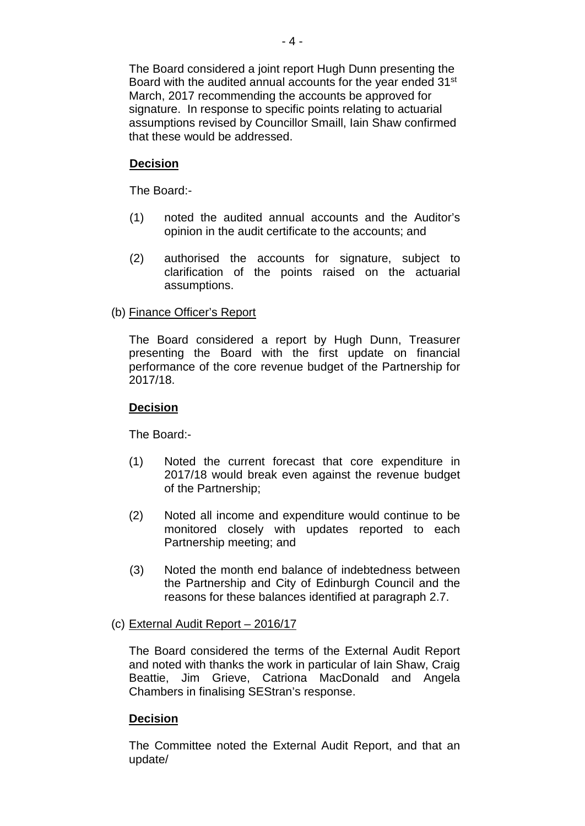The Board considered a joint report Hugh Dunn presenting the Board with the audited annual accounts for the year ended 31<sup>st</sup> March, 2017 recommending the accounts be approved for signature. In response to specific points relating to actuarial assumptions revised by Councillor Smaill, Iain Shaw confirmed that these would be addressed.

# **Decision**

The Board:-

- (1) noted the audited annual accounts and the Auditor's opinion in the audit certificate to the accounts; and
- (2) authorised the accounts for signature, subject to clarification of the points raised on the actuarial assumptions.

# (b) Finance Officer's Report

The Board considered a report by Hugh Dunn, Treasurer presenting the Board with the first update on financial performance of the core revenue budget of the Partnership for 2017/18.

### **Decision**

The Board:-

- (1) Noted the current forecast that core expenditure in 2017/18 would break even against the revenue budget of the Partnership;
- (2) Noted all income and expenditure would continue to be monitored closely with updates reported to each Partnership meeting; and
- (3) Noted the month end balance of indebtedness between the Partnership and City of Edinburgh Council and the reasons for these balances identified at paragraph 2.7.

### (c) External Audit Report – 2016/17

The Board considered the terms of the External Audit Report and noted with thanks the work in particular of Iain Shaw, Craig Beattie, Jim Grieve, Catriona MacDonald and Angela Chambers in finalising SEStran's response.

# **Decision**

The Committee noted the External Audit Report, and that an update/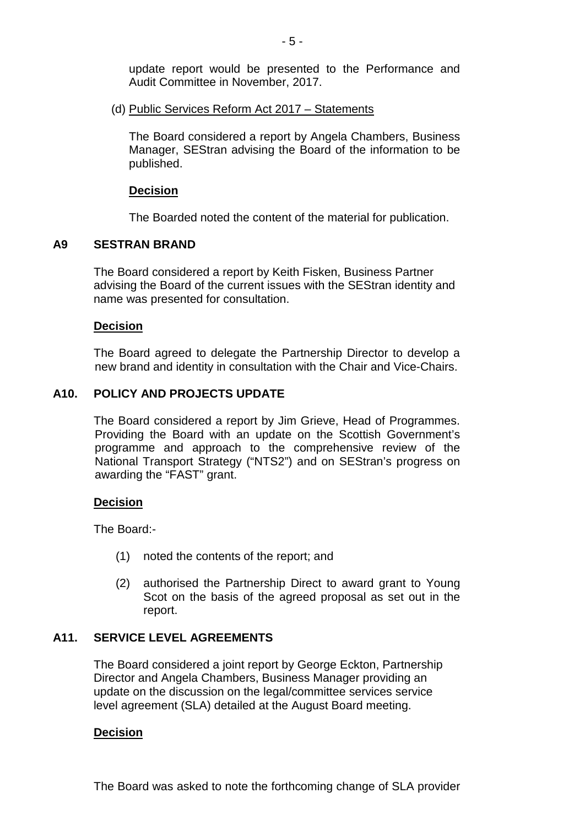update report would be presented to the Performance and Audit Committee in November, 2017.

(d) Public Services Reform Act 2017 – Statements

The Board considered a report by Angela Chambers, Business Manager, SEStran advising the Board of the information to be published.

#### **Decision**

The Boarded noted the content of the material for publication.

### **A9 SESTRAN BRAND**

The Board considered a report by Keith Fisken, Business Partner advising the Board of the current issues with the SEStran identity and name was presented for consultation.

#### **Decision**

The Board agreed to delegate the Partnership Director to develop a new brand and identity in consultation with the Chair and Vice-Chairs.

### **A10. POLICY AND PROJECTS UPDATE**

The Board considered a report by Jim Grieve, Head of Programmes. Providing the Board with an update on the Scottish Government's programme and approach to the comprehensive review of the National Transport Strategy ("NTS2") and on SEStran's progress on awarding the "FAST" grant.

### **Decision**

The Board:-

- (1) noted the contents of the report; and
- (2) authorised the Partnership Direct to award grant to Young Scot on the basis of the agreed proposal as set out in the report.

### **A11. SERVICE LEVEL AGREEMENTS**

The Board considered a joint report by George Eckton, Partnership Director and Angela Chambers, Business Manager providing an update on the discussion on the legal/committee services service level agreement (SLA) detailed at the August Board meeting.

### **Decision**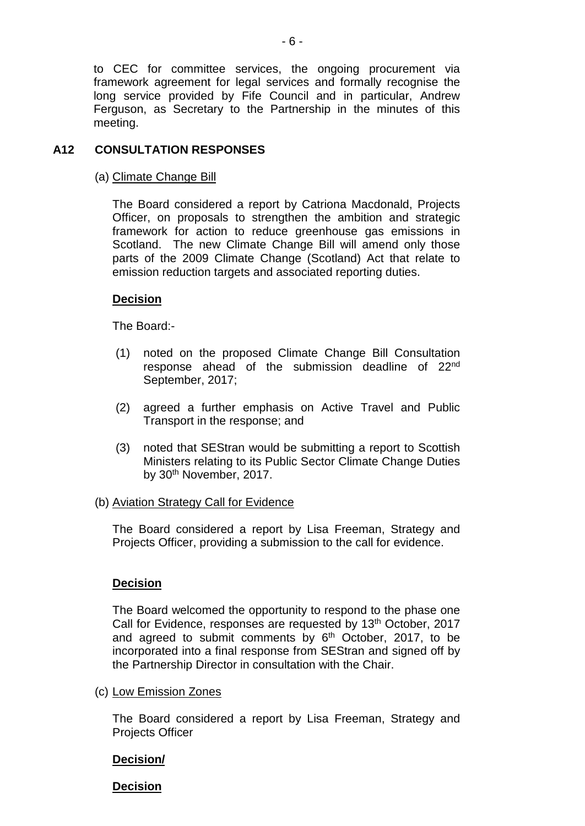to CEC for committee services, the ongoing procurement via framework agreement for legal services and formally recognise the long service provided by Fife Council and in particular, Andrew Ferguson, as Secretary to the Partnership in the minutes of this meeting.

# **A12 CONSULTATION RESPONSES**

## (a) Climate Change Bill

The Board considered a report by Catriona Macdonald, Projects Officer, on proposals to strengthen the ambition and strategic framework for action to reduce greenhouse gas emissions in Scotland. The new Climate Change Bill will amend only those parts of the 2009 Climate Change (Scotland) Act that relate to emission reduction targets and associated reporting duties.

# **Decision**

The Board:-

- (1) noted on the proposed Climate Change Bill Consultation response ahead of the submission deadline of 22nd September, 2017;
- (2) agreed a further emphasis on Active Travel and Public Transport in the response; and
- (3) noted that SEStran would be submitting a report to Scottish Ministers relating to its Public Sector Climate Change Duties by 30<sup>th</sup> November, 2017.

# (b) Aviation Strategy Call for Evidence

The Board considered a report by Lisa Freeman, Strategy and Projects Officer, providing a submission to the call for evidence.

# **Decision**

The Board welcomed the opportunity to respond to the phase one Call for Evidence, responses are requested by 13<sup>th</sup> October, 2017 and agreed to submit comments by  $6<sup>th</sup>$  October, 2017, to be incorporated into a final response from SEStran and signed off by the Partnership Director in consultation with the Chair.

# (c) Low Emission Zones

The Board considered a report by Lisa Freeman, Strategy and Projects Officer

# **Decision/**

**Decision**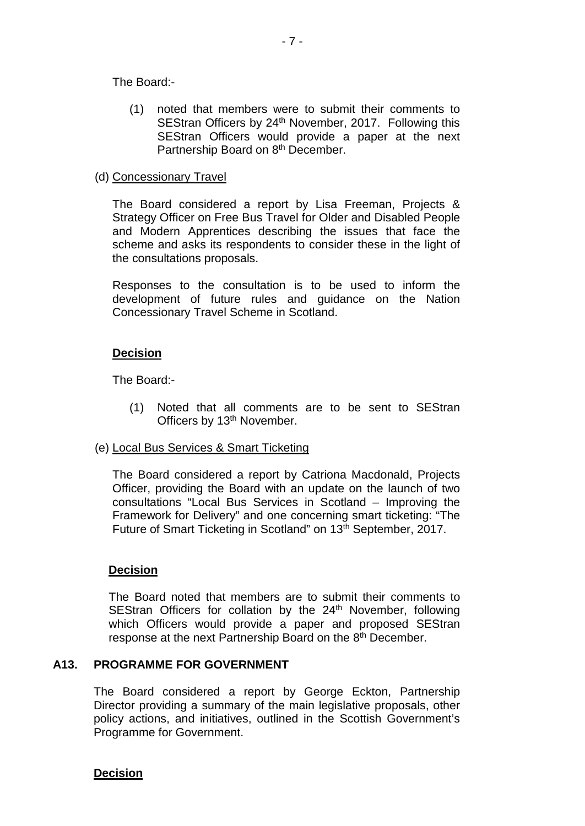The Board:-

(1) noted that members were to submit their comments to SEStran Officers by 24<sup>th</sup> November, 2017. Following this SEStran Officers would provide a paper at the next Partnership Board on 8<sup>th</sup> December.

### (d) Concessionary Travel

The Board considered a report by Lisa Freeman, Projects & Strategy Officer on Free Bus Travel for Older and Disabled People and Modern Apprentices describing the issues that face the scheme and asks its respondents to consider these in the light of the consultations proposals.

Responses to the consultation is to be used to inform the development of future rules and guidance on the Nation Concessionary Travel Scheme in Scotland.

### **Decision**

The Board:-

(1) Noted that all comments are to be sent to SEStran Officers by 13<sup>th</sup> November.

# (e) Local Bus Services & Smart Ticketing

The Board considered a report by Catriona Macdonald, Projects Officer, providing the Board with an update on the launch of two consultations "Local Bus Services in Scotland – Improving the Framework for Delivery" and one concerning smart ticketing: "The Future of Smart Ticketing in Scotland" on 13<sup>th</sup> September, 2017.

### **Decision**

The Board noted that members are to submit their comments to SEStran Officers for collation by the 24<sup>th</sup> November, following which Officers would provide a paper and proposed SEStran response at the next Partnership Board on the 8<sup>th</sup> December.

# **A13. PROGRAMME FOR GOVERNMENT**

The Board considered a report by George Eckton, Partnership Director providing a summary of the main legislative proposals, other policy actions, and initiatives, outlined in the Scottish Government's Programme for Government.

**Decision**